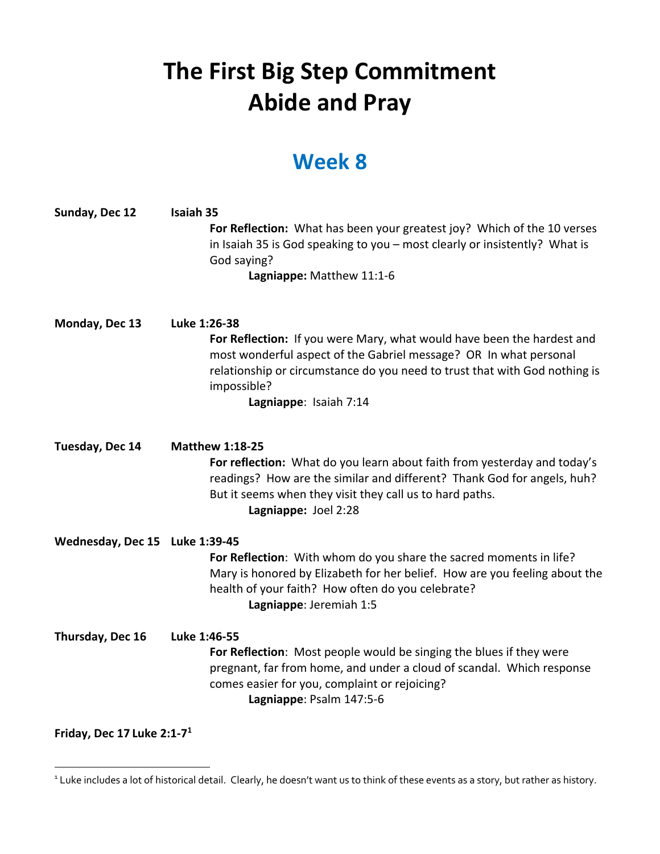## **The First Big Step Commitment Abide and Pray**

## **Week 8**

| Sunday, Dec 12                 | <b>Isaiah 35</b><br>For Reflection: What has been your greatest joy? Which of the 10 verses<br>in Isaiah 35 is God speaking to you - most clearly or insistently? What is<br>God saying?<br>Lagniappe: Matthew 11:1-6                                                              |
|--------------------------------|------------------------------------------------------------------------------------------------------------------------------------------------------------------------------------------------------------------------------------------------------------------------------------|
| Monday, Dec 13                 | Luke 1:26-38<br>For Reflection: If you were Mary, what would have been the hardest and<br>most wonderful aspect of the Gabriel message? OR In what personal<br>relationship or circumstance do you need to trust that with God nothing is<br>impossible?<br>Lagniappe: Isaiah 7:14 |
| Tuesday, Dec 14                | <b>Matthew 1:18-25</b><br>For reflection: What do you learn about faith from yesterday and today's<br>readings? How are the similar and different? Thank God for angels, huh?<br>But it seems when they visit they call us to hard paths.<br>Lagniappe: Joel 2:28                  |
| Wednesday, Dec 15 Luke 1:39-45 | For Reflection: With whom do you share the sacred moments in life?<br>Mary is honored by Elizabeth for her belief. How are you feeling about the<br>health of your faith? How often do you celebrate?<br>Lagniappe: Jeremiah 1:5                                                   |
| Thursday, Dec 16               | Luke 1:46-55<br>For Reflection: Most people would be singing the blues if they were<br>pregnant, far from home, and under a cloud of scandal. Which response<br>comes easier for you, complaint or rejoicing?<br>Lagniappe: Psalm 147:5-6                                          |
| Friday, Dec 17 Luke $2:1-71$   |                                                                                                                                                                                                                                                                                    |

<sup>&</sup>lt;sup>1</sup> Luke includes a lot of historical detail. Clearly, he doesn't want us to think of these events as a story, but rather as history.